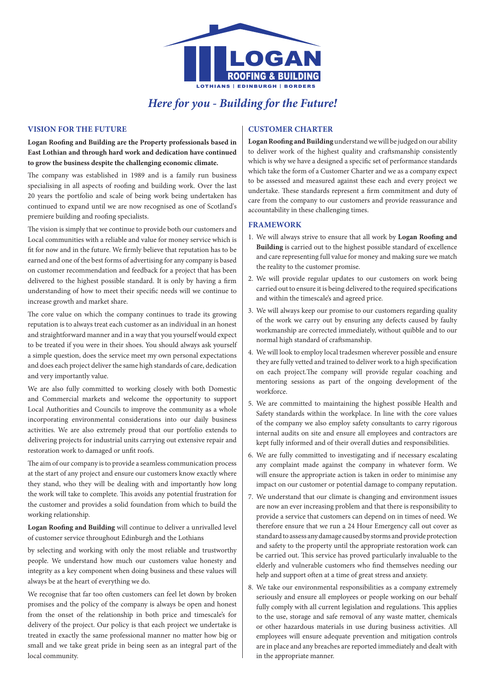

# *Here for you - Building for the Future!*

## **Vision for the Future**

**Logan Roofing and Building are the Property professionals based in East Lothian and through hard work and dedication have continued to grow the business despite the challenging economic climate.** 

The company was established in 1989 and is a family run business specialising in all aspects of roofing and building work. Over the last 20 years the portfolio and scale of being work being undertaken has continued to expand until we are now recognised as one of Scotland's premiere building and roofing specialists.

The vision is simply that we continue to provide both our customers and Local communities with a reliable and value for money service which is fit for now and in the future. We firmly believe that reputation has to be earned and one of the best forms of advertising for any company is based on customer recommendation and feedback for a project that has been delivered to the highest possible standard. It is only by having a firm understanding of how to meet their specific needs will we continue to increase growth and market share.

The core value on which the company continues to trade its growing reputation is to always treat each customer as an individual in an honest and straightforward manner and in a way that you yourself would expect to be treated if you were in their shoes. You should always ask yourself a simple question, does the service meet my own personal expectations and does each project deliver the same high standards of care, dedication and very importantly value.

We are also fully committed to working closely with both Domestic and Commercial markets and welcome the opportunity to support Local Authorities and Councils to improve the community as a whole incorporating environmental considerations into our daily business activities. We are also extremely proud that our portfolio extends to delivering projects for industrial units carrying out extensive repair and restoration work to damaged or unfit roofs.

The aim of our company is to provide a seamless communication process at the start of any project and ensure our customers know exactly where they stand, who they will be dealing with and importantly how long the work will take to complete. This avoids any potential frustration for the customer and provides a solid foundation from which to build the working relationship.

**Logan Roofing and Building** will continue to deliver a unrivalled level of customer service throughout Edinburgh and the Lothians

by selecting and working with only the most reliable and trustworthy people. We understand how much our customers value honesty and integrity as a key component when doing business and these values will always be at the heart of everything we do.

We recognise that far too often customers can feel let down by broken promises and the policy of the company is always be open and honest from the onset of the relationship in both price and timescale's for delivery of the project. Our policy is that each project we undertake is treated in exactly the same professional manner no matter how big or small and we take great pride in being seen as an integral part of the local community.

## **Customer Charter**

**Logan Roofing and Building** understand we will be judged on our ability to deliver work of the highest quality and craftsmanship consistently which is why we have a designed a specific set of performance standards which take the form of a Customer Charter and we as a company expect to be assessed and measured against these each and every project we undertake. These standards represent a firm commitment and duty of care from the company to our customers and provide reassurance and accountability in these challenging times.

## **Framework**

- 1. We will always strive to ensure that all work by **Logan Roofing and Building** is carried out to the highest possible standard of excellence and care representing full value for money and making sure we match the reality to the customer promise.
- 2. We will provide regular updates to our customers on work being carried out to ensure it is being delivered to the required specifications and within the timescale's and agreed price.
- 3. We will always keep our promise to our customers regarding quality of the work we carry out by ensuring any defects caused by faulty workmanship are corrected immediately, without quibble and to our normal high standard of craftsmanship.
- 4. We will look to employ local tradesmen wherever possible and ensure they are fully vetted and trained to deliver work to a high specification on each project.The company will provide regular coaching and mentoring sessions as part of the ongoing development of the workforce.
- 5. We are committed to maintaining the highest possible Health and Safety standards within the workplace. In line with the core values of the company we also employ safety consultants to carry rigorous internal audits on site and ensure all employees and contractors are kept fully informed and of their overall duties and responsibilities.
- 6. We are fully committed to investigating and if necessary escalating any complaint made against the company in whatever form. We will ensure the appropriate action is taken in order to minimise any impact on our customer or potential damage to company reputation.
- 7. We understand that our climate is changing and environment issues are now an ever increasing problem and that there is responsibility to provide a service that customers can depend on in times of need. We therefore ensure that we run a 24 Hour Emergency call out cover as standard to assess any damage caused by storms and provide protection and safety to the property until the appropriate restoration work can be carried out. This service has proved particularly invaluable to the elderly and vulnerable customers who find themselves needing our help and support often at a time of great stress and anxiety.
- 8. We take our environmental responsibilities as a company extremely seriously and ensure all employees or people working on our behalf fully comply with all current legislation and regulations. This applies to the use, storage and safe removal of any waste matter, chemicals or other hazardous materials in use during business activities. All employees will ensure adequate prevention and mitigation controls are in place and any breaches are reported immediately and dealt with in the appropriate manner.